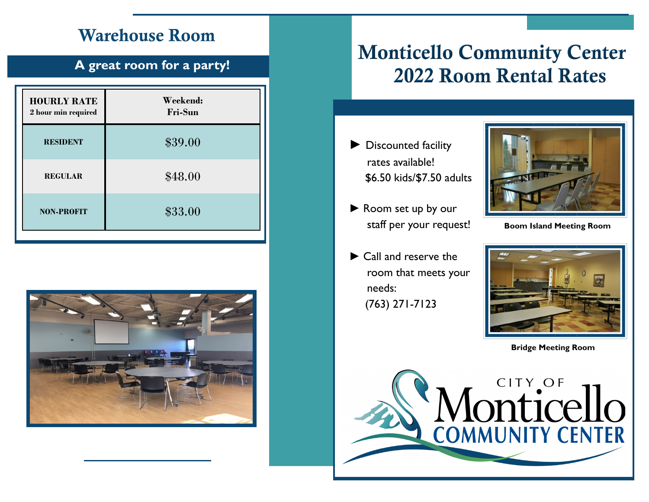### Warehouse Room

### **A great room for a party!**

| <b>HOURLY RATE</b><br>2 hour min required | Weekend:<br><b>Fri-Sun</b> |
|-------------------------------------------|----------------------------|
| <b>RESIDENT</b>                           | \$39.00                    |
| <b>REGULAR</b>                            | \$48.00                    |
| <b>NON-PROFIT</b>                         | \$33.00                    |
|                                           |                            |



## **Monticello Community Center 2022 Room Rental Rates**

- ► Discounted facility rates available! \$6.50 kids/\$7.50 adults
- ► Room set up by our staff per your request!
- ► Call and reserve the room that meets your needs: (763) 271-7123



**Boom Island Meeting Room**



**Bridge Meeting Room**

**of the CITY OF COMMUNITY CENTER**